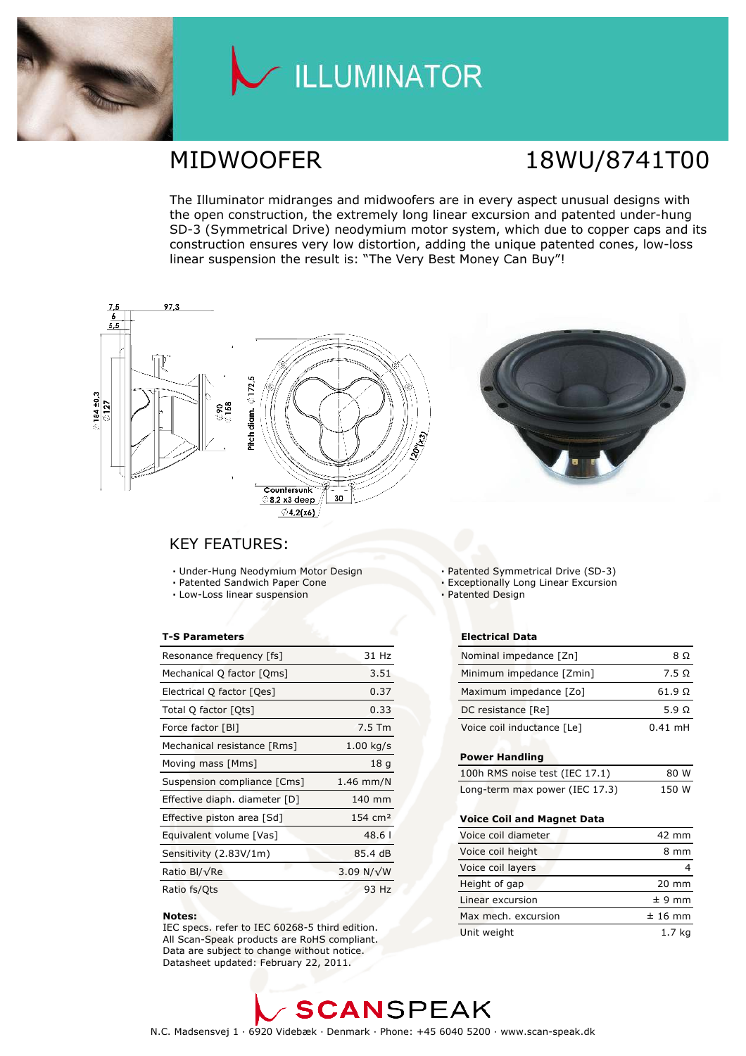

# / ILLUMINATOR

# MIDWOOFER 18WU/8741T00

The Illuminator midranges and midwoofers are in every aspect unusual designs with the open construction, the extremely long linear excursion and patented under-hung SD-3 (Symmetrical Drive) neodymium motor system, which due to copper caps and its construction ensures very low distortion, adding the unique patented cones, low-loss linear suspension the result is: "The Very Best Money Can Buy"!



### **KEY FEATURES:**

- Under-Hung Neodymium Motor Design
- · Patented Sandwich Paper Cone
- · Low-Loss linear suspension

### **T-S Parameters**

| Resonance frequency [fs]      | 31 Hz              |
|-------------------------------|--------------------|
| Mechanical Q factor [Qms]     | 3.51               |
| Electrical Q factor [Qes]     | 0.37               |
| Total Q factor [Qts]          | 0.33               |
| Force factor [BI]             | 7.5 Tm             |
| Mechanical resistance [Rms]   | $1.00$ kg/s        |
| Moving mass [Mms]             | 18 <sub>q</sub>    |
| Suspension compliance [Cms]   | $1.46$ mm/N        |
| Effective diaph. diameter [D] | 140 mm             |
| Effective piston area [Sd]    | $154 \text{ cm}^2$ |
| Equivalent volume [Vas]       | 48.61              |
| Sensitivity (2.83V/1m)        | 85.4 dB            |
| Ratio Bl/√Re                  | 3.09 N/ $\sqrt{W}$ |
| Ratio fs/Qts                  | 93 Hz              |

#### Notes:

IEC specs. refer to IEC 60268-5 third edition. All Scan-Speak products are RoHS compliant. Data are subject to change without notice. Datasheet updated: February 22, 2011.

· Patented Symmetrical Drive (SD-3)

- **Exceptionally Long Linear Excursion**
- Patented Design

### **Electrical Data**

| Nominal impedance [Zn]     | 8 O            |
|----------------------------|----------------|
| Minimum impedance [Zmin]   | 7.5 Q          |
| Maximum impedance [Zo]     | $61.9\ \Omega$ |
| DC resistance [Re]         | 5.9 Q          |
| Voice coil inductance [Le] | $0.41$ mH      |

### **Power Handling**

| 100h RMS noise test (IEC 17.1) | 80 W  |
|--------------------------------|-------|
| Long-term max power (IEC 17.3) | 150 W |

### Voice Coil and Magnet Data

| Voice coil diameter | 42 mm           |
|---------------------|-----------------|
| Voice coil height   | 8 mm            |
| Voice coil layers   |                 |
| Height of gap       | $20 \text{ mm}$ |
| Linear excursion    | $± 9$ mm        |
| Max mech, excursion | $± 16$ mm       |
| Unit weight         | 1.7 ka          |